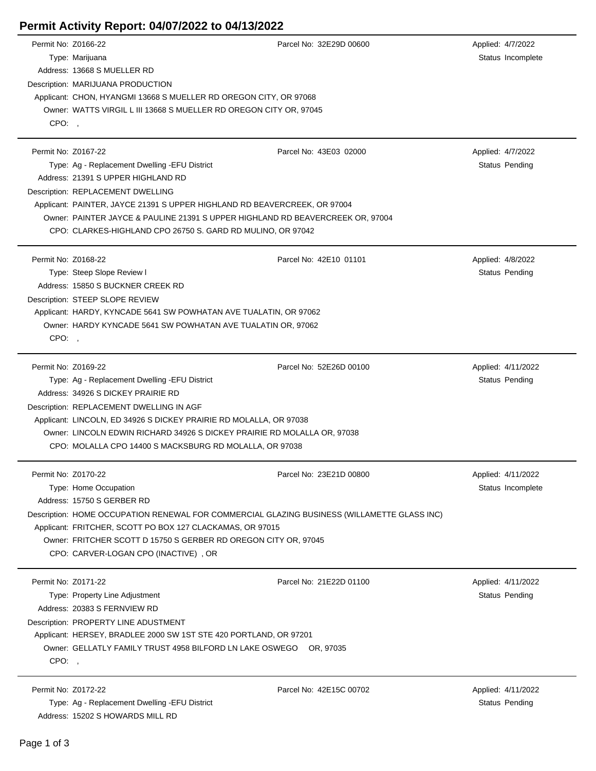## **Permit Activity Report: 04/07/2022 to 04/13/2022**

| Permit No: Z0166-22 |                                                                                             | Parcel No: 32E29D 00600 | Applied: 4/7/2022  |  |  |
|---------------------|---------------------------------------------------------------------------------------------|-------------------------|--------------------|--|--|
|                     | Type: Marijuana                                                                             |                         | Status Incomplete  |  |  |
|                     | Address: 13668 S MUELLER RD                                                                 |                         |                    |  |  |
|                     | Description: MARIJUANA PRODUCTION                                                           |                         |                    |  |  |
|                     | Applicant: CHON, HYANGMI 13668 S MUELLER RD OREGON CITY, OR 97068                           |                         |                    |  |  |
|                     | Owner: WATTS VIRGIL L III 13668 S MUELLER RD OREGON CITY OR, 97045                          |                         |                    |  |  |
| CPO:,               |                                                                                             |                         |                    |  |  |
|                     |                                                                                             |                         |                    |  |  |
| Permit No: Z0167-22 |                                                                                             | Parcel No: 43E03 02000  | Applied: 4/7/2022  |  |  |
|                     | Type: Ag - Replacement Dwelling - EFU District                                              |                         | Status Pending     |  |  |
|                     | Address: 21391 S UPPER HIGHLAND RD                                                          |                         |                    |  |  |
|                     | Description: REPLACEMENT DWELLING                                                           |                         |                    |  |  |
|                     | Applicant: PAINTER, JAYCE 21391 S UPPER HIGHLAND RD BEAVERCREEK, OR 97004                   |                         |                    |  |  |
|                     | Owner: PAINTER JAYCE & PAULINE 21391 S UPPER HIGHLAND RD BEAVERCREEK OR, 97004              |                         |                    |  |  |
|                     | CPO: CLARKES-HIGHLAND CPO 26750 S. GARD RD MULINO, OR 97042                                 |                         |                    |  |  |
|                     |                                                                                             |                         |                    |  |  |
| Permit No: Z0168-22 |                                                                                             | Parcel No: 42E10 01101  | Applied: 4/8/2022  |  |  |
|                     | Type: Steep Slope Review I                                                                  |                         | Status Pending     |  |  |
|                     | Address: 15850 S BUCKNER CREEK RD                                                           |                         |                    |  |  |
|                     | Description: STEEP SLOPE REVIEW                                                             |                         |                    |  |  |
|                     | Applicant: HARDY, KYNCADE 5641 SW POWHATAN AVE TUALATIN, OR 97062                           |                         |                    |  |  |
|                     | Owner: HARDY KYNCADE 5641 SW POWHATAN AVE TUALATIN OR, 97062                                |                         |                    |  |  |
| CPO:                |                                                                                             |                         |                    |  |  |
|                     |                                                                                             |                         |                    |  |  |
| Permit No: Z0169-22 |                                                                                             | Parcel No: 52E26D 00100 | Applied: 4/11/2022 |  |  |
|                     | Type: Ag - Replacement Dwelling - EFU District                                              |                         | Status Pending     |  |  |
|                     | Address: 34926 S DICKEY PRAIRIE RD                                                          |                         |                    |  |  |
|                     | Description: REPLACEMENT DWELLING IN AGF                                                    |                         |                    |  |  |
|                     | Applicant: LINCOLN, ED 34926 S DICKEY PRAIRIE RD MOLALLA, OR 97038                          |                         |                    |  |  |
|                     | Owner: LINCOLN EDWIN RICHARD 34926 S DICKEY PRAIRIE RD MOLALLA OR, 97038                    |                         |                    |  |  |
|                     | CPO: MOLALLA CPO 14400 S MACKSBURG RD MOLALLA, OR 97038                                     |                         |                    |  |  |
|                     |                                                                                             |                         |                    |  |  |
| Permit No: Z0170-22 |                                                                                             | Parcel No: 23E21D 00800 | Applied: 4/11/2022 |  |  |
|                     | Type: Home Occupation                                                                       |                         | Status Incomplete  |  |  |
|                     | Address: 15750 S GERBER RD                                                                  |                         |                    |  |  |
|                     | Description: HOME OCCUPATION RENEWAL FOR COMMERCIAL GLAZING BUSINESS (WILLAMETTE GLASS INC) |                         |                    |  |  |
|                     | Applicant: FRITCHER, SCOTT PO BOX 127 CLACKAMAS, OR 97015                                   |                         |                    |  |  |
|                     | Owner: FRITCHER SCOTT D 15750 S GERBER RD OREGON CITY OR, 97045                             |                         |                    |  |  |
|                     | CPO: CARVER-LOGAN CPO (INACTIVE), OR                                                        |                         |                    |  |  |
|                     |                                                                                             |                         |                    |  |  |
| Permit No: Z0171-22 |                                                                                             | Parcel No: 21E22D 01100 | Applied: 4/11/2022 |  |  |
|                     | Type: Property Line Adjustment                                                              |                         | Status Pending     |  |  |
|                     | Address: 20383 S FERNVIEW RD                                                                |                         |                    |  |  |
|                     | Description: PROPERTY LINE ADUSTMENT                                                        |                         |                    |  |  |
|                     | Applicant: HERSEY, BRADLEE 2000 SW 1ST STE 420 PORTLAND, OR 97201                           |                         |                    |  |  |
|                     | Owner: GELLATLY FAMILY TRUST 4958 BILFORD LN LAKE OSWEGO OR, 97035                          |                         |                    |  |  |
| CPO:,               |                                                                                             |                         |                    |  |  |
|                     | Permit No: Z0172-22                                                                         | Parcel No: 42E15C 00702 | Applied: 4/11/2022 |  |  |
|                     | Type: Ag - Replacement Dwelling - EFU District                                              |                         | Status Pending     |  |  |
|                     | Address: 15202 S HOWARDS MILL RD                                                            |                         |                    |  |  |
|                     |                                                                                             |                         |                    |  |  |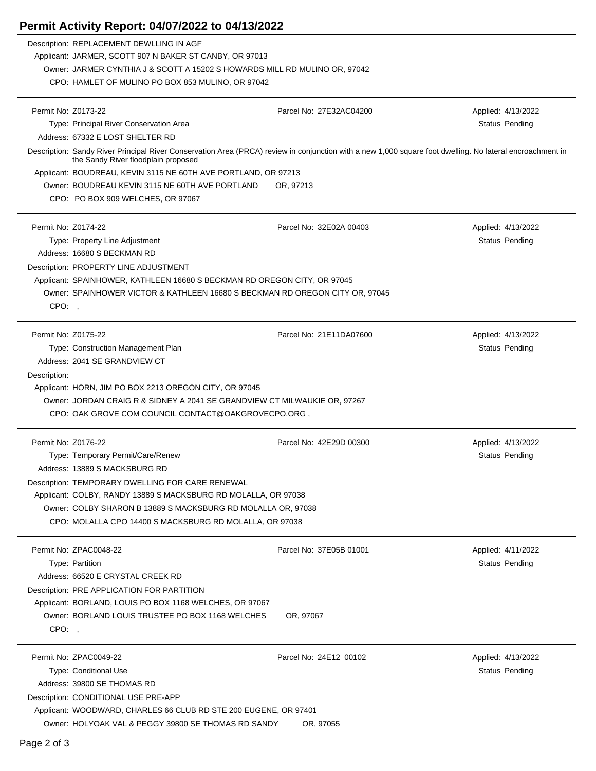## **Permit Activity Report: 04/07/2022 to 04/13/2022**

|                     | Description: REPLACEMENT DEWLLING IN AGF                                                                                                                                                         |                         |                    |  |  |
|---------------------|--------------------------------------------------------------------------------------------------------------------------------------------------------------------------------------------------|-------------------------|--------------------|--|--|
|                     | Applicant: JARMER, SCOTT 907 N BAKER ST CANBY, OR 97013                                                                                                                                          |                         |                    |  |  |
|                     | Owner: JARMER CYNTHIA J & SCOTT A 15202 S HOWARDS MILL RD MULINO OR, 97042                                                                                                                       |                         |                    |  |  |
|                     | CPO: HAMLET OF MULINO PO BOX 853 MULINO, OR 97042                                                                                                                                                |                         |                    |  |  |
| Permit No: Z0173-22 |                                                                                                                                                                                                  | Parcel No: 27E32AC04200 | Applied: 4/13/2022 |  |  |
|                     | Type: Principal River Conservation Area                                                                                                                                                          |                         | Status Pending     |  |  |
|                     | Address: 67332 E LOST SHELTER RD                                                                                                                                                                 |                         |                    |  |  |
|                     | Description: Sandy River Principal River Conservation Area (PRCA) review in conjunction with a new 1,000 square foot dwelling. No lateral encroachment in<br>the Sandy River floodplain proposed |                         |                    |  |  |
|                     | Applicant: BOUDREAU, KEVIN 3115 NE 60TH AVE PORTLAND, OR 97213                                                                                                                                   |                         |                    |  |  |
|                     | Owner: BOUDREAU KEVIN 3115 NE 60TH AVE PORTLAND                                                                                                                                                  | OR, 97213               |                    |  |  |
|                     | CPO: PO BOX 909 WELCHES, OR 97067                                                                                                                                                                |                         |                    |  |  |
| Permit No: Z0174-22 |                                                                                                                                                                                                  | Parcel No: 32E02A 00403 | Applied: 4/13/2022 |  |  |
|                     | Type: Property Line Adjustment                                                                                                                                                                   |                         | Status Pending     |  |  |
|                     | Address: 16680 S BECKMAN RD                                                                                                                                                                      |                         |                    |  |  |
|                     | Description: PROPERTY LINE ADJUSTMENT                                                                                                                                                            |                         |                    |  |  |
|                     | Applicant: SPAINHOWER, KATHLEEN 16680 S BECKMAN RD OREGON CITY, OR 97045                                                                                                                         |                         |                    |  |  |
|                     | Owner: SPAINHOWER VICTOR & KATHLEEN 16680 S BECKMAN RD OREGON CITY OR, 97045                                                                                                                     |                         |                    |  |  |
| CPO:,               |                                                                                                                                                                                                  |                         |                    |  |  |
| Permit No: Z0175-22 |                                                                                                                                                                                                  | Parcel No: 21E11DA07600 | Applied: 4/13/2022 |  |  |
|                     | Type: Construction Management Plan                                                                                                                                                               |                         | Status Pending     |  |  |
|                     | Address: 2041 SE GRANDVIEW CT                                                                                                                                                                    |                         |                    |  |  |
| Description:        |                                                                                                                                                                                                  |                         |                    |  |  |
|                     | Applicant: HORN, JIM PO BOX 2213 OREGON CITY, OR 97045                                                                                                                                           |                         |                    |  |  |
|                     | Owner: JORDAN CRAIG R & SIDNEY A 2041 SE GRANDVIEW CT MILWAUKIE OR, 97267                                                                                                                        |                         |                    |  |  |
|                     | CPO: OAK GROVE COM COUNCIL CONTACT@OAKGROVECPO.ORG,                                                                                                                                              |                         |                    |  |  |
| Permit No: Z0176-22 |                                                                                                                                                                                                  | Parcel No: 42E29D 00300 | Applied: 4/13/2022 |  |  |
|                     | Type: Temporary Permit/Care/Renew                                                                                                                                                                |                         | Status Pending     |  |  |
|                     | Address: 13889 S MACKSBURG RD                                                                                                                                                                    |                         |                    |  |  |
|                     | Description: TEMPORARY DWELLING FOR CARE RENEWAL                                                                                                                                                 |                         |                    |  |  |
|                     | Applicant: COLBY, RANDY 13889 S MACKSBURG RD MOLALLA, OR 97038                                                                                                                                   |                         |                    |  |  |
|                     | Owner: COLBY SHARON B 13889 S MACKSBURG RD MOLALLA OR, 97038                                                                                                                                     |                         |                    |  |  |
|                     | CPO: MOLALLA CPO 14400 S MACKSBURG RD MOLALLA, OR 97038                                                                                                                                          |                         |                    |  |  |
|                     | Permit No: ZPAC0048-22                                                                                                                                                                           | Parcel No: 37E05B 01001 | Applied: 4/11/2022 |  |  |
|                     | Type: Partition                                                                                                                                                                                  |                         | Status Pending     |  |  |
|                     | Address: 66520 E CRYSTAL CREEK RD                                                                                                                                                                |                         |                    |  |  |
|                     | Description: PRE APPLICATION FOR PARTITION                                                                                                                                                       |                         |                    |  |  |
|                     | Applicant: BORLAND, LOUIS PO BOX 1168 WELCHES, OR 97067                                                                                                                                          |                         |                    |  |  |
|                     | Owner: BORLAND LOUIS TRUSTEE PO BOX 1168 WELCHES                                                                                                                                                 | OR, 97067               |                    |  |  |
| CPO:,               |                                                                                                                                                                                                  |                         |                    |  |  |
|                     | Permit No: ZPAC0049-22                                                                                                                                                                           | Parcel No: 24E12 00102  | Applied: 4/13/2022 |  |  |
|                     | Type: Conditional Use                                                                                                                                                                            |                         | Status Pending     |  |  |
|                     | Address: 39800 SE THOMAS RD                                                                                                                                                                      |                         |                    |  |  |
|                     | Description: CONDITIONAL USE PRE-APP                                                                                                                                                             |                         |                    |  |  |
|                     | Applicant: WOODWARD, CHARLES 66 CLUB RD STE 200 EUGENE, OR 97401                                                                                                                                 |                         |                    |  |  |
|                     | Owner: HOLYOAK VAL & PEGGY 39800 SE THOMAS RD SANDY<br>OR, 97055                                                                                                                                 |                         |                    |  |  |